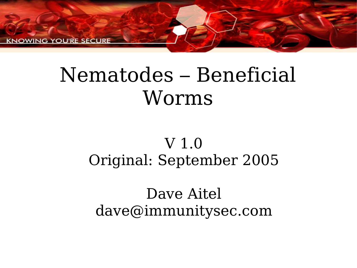KNOWING YOU'RE SECURE

#### Nematodes – Beneficial Worms

#### V 1.0 Original: September 2005

#### Dave Aitel dave@immunitysec.com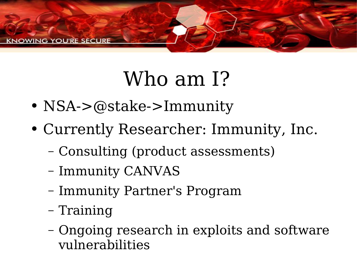

## Who am I?

- NSA->@stake->Immunity
- Currently Researcher: Immunity, Inc.
	- Consulting (product assessments)
	- Immunity CANVAS
	- Immunity Partner's Program
	- Training
	- Ongoing research in exploits and software vulnerabilities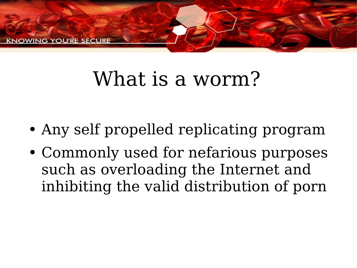

## What is a worm?

- Any self propelled replicating program
- Commonly used for nefarious purposes such as overloading the Internet and inhibiting the valid distribution of porn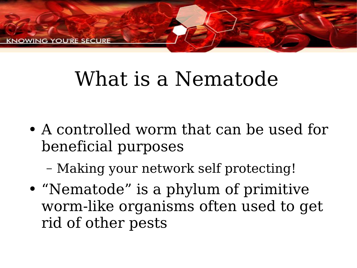

## What is a Nematode

• A controlled worm that can be used for beneficial purposes

– Making your network self protecting!

● "Nematode" is a phylum of primitive worm-like organisms often used to get rid of other pests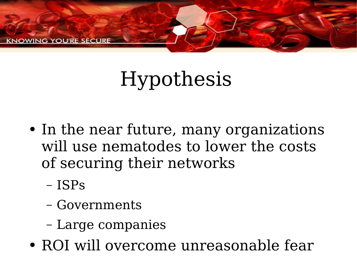

## Hypothesis

- In the near future, many organizations will use nematodes to lower the costs of securing their networks
	- ISPs
	- Governments
	- Large companies
- ROI will overcome unreasonable fear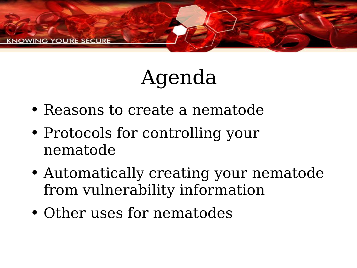

## Agenda

- Reasons to create a nematode
- Protocols for controlling your nematode
- Automatically creating your nematode from vulnerability information
- Other uses for nematodes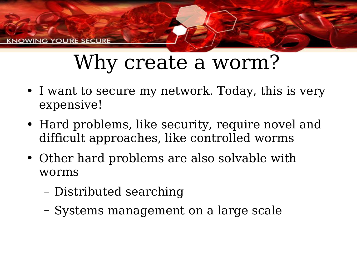**(NOWING YOU'RE SECURE** 

#### Why create a worm?

- I want to secure my network. Today, this is very expensive!
- Hard problems, like security, require novel and difficult approaches, like controlled worms
- Other hard problems are also solvable with worms
	- Distributed searching
	- Systems management on a large scale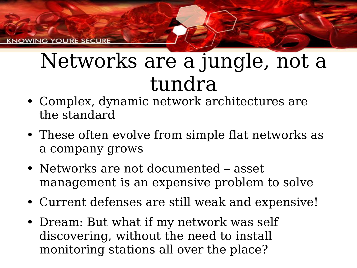**G. YOU'RE SECURI** 

#### Networks are a jungle, not a tundra

- Complex, dynamic network architectures are the standard
- These often evolve from simple flat networks as a company grows
- Networks are not documented asset management is an expensive problem to solve
- Current defenses are still weak and expensive!
- Dream: But what if my network was self discovering, without the need to install monitoring stations all over the place?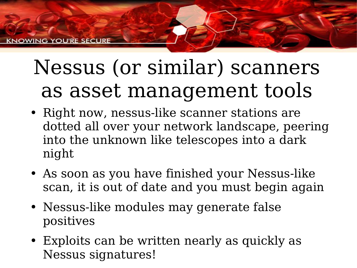## Nessus (or similar) scanners as asset management tools

- Right now, nessus-like scanner stations are dotted all over your network landscape, peering into the unknown like telescopes into a dark night
- As soon as you have finished your Nessus-like scan, it is out of date and you must begin again
- Nessus-like modules may generate false positives
- Exploits can be written nearly as quickly as Nessus signatures!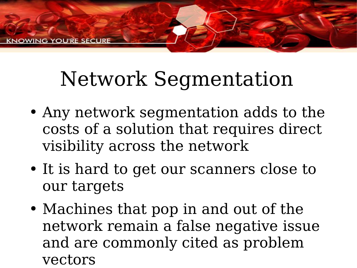## Network Segmentation

- Any network segmentation adds to the costs of a solution that requires direct visibility across the network
- It is hard to get our scanners close to our targets
- Machines that pop in and out of the network remain a false negative issue and are commonly cited as problem vectors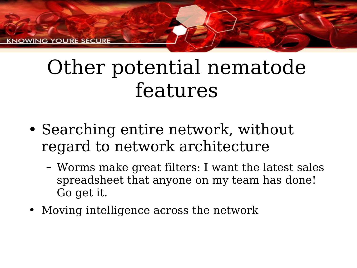**CNOWING YOU'RE SECURE** 

#### Other potential nematode features

- Searching entire network, without regard to network architecture
	- Worms make great filters: I want the latest sales spreadsheet that anyone on my team has done! Go get it.
- Moving intelligence across the network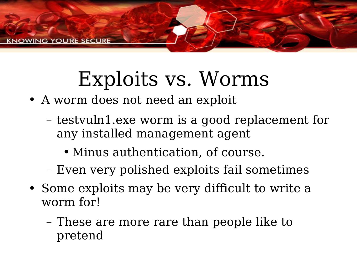

### Exploits vs. Worms

- A worm does not need an exploit
	- testvuln1.exe worm is a good replacement for any installed management agent
		- Minus authentication, of course.
	- Even very polished exploits fail sometimes
- Some exploits may be very difficult to write a worm for!
	- These are more rare than people like to pretend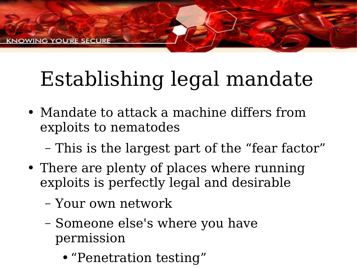# Establishing legal mandate

- Mandate to attack a machine differs from exploits to nematodes
	- This is the largest part of the "fear factor"
- There are plenty of places where running exploits is perfectly legal and desirable
	- Your own network
	- Someone else's where you have permission
		- "Penetration testing"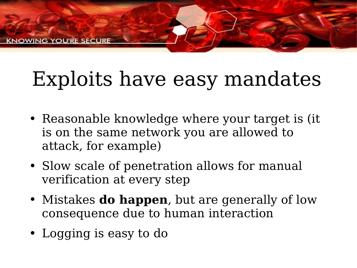# Exploits have easy mandates

- Reasonable knowledge where your target is (it is on the same network you are allowed to attack, for example)
- Slow scale of penetration allows for manual verification at every step
- Mistakes **do happen**, but are generally of low consequence due to human interaction
- Logging is easy to do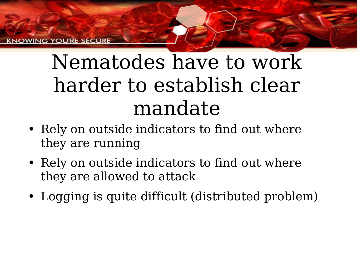YOU'RE SECU

## Nematodes have to work harder to establish clear mandate

- Rely on outside indicators to find out where they are running
- Rely on outside indicators to find out where they are allowed to attack
- Logging is quite difficult (distributed problem)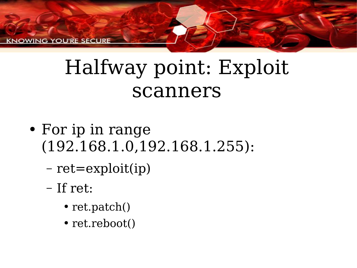KNOWING YOU'RE SECURE

#### Halfway point: Exploit scanners

- For ip in range (192.168.1.0,192.168.1.255):
	- ret=exploit(ip)
	- If ret:
		- ret.patch()
		- ret.reboot()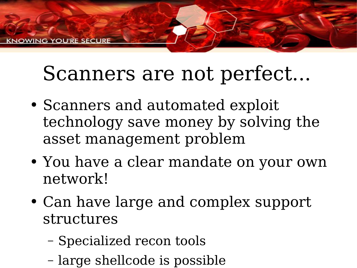#### Scanners are not perfect...

- Scanners and automated exploit technology save money by solving the asset management problem
- You have a clear mandate on your own network!
- Can have large and complex support structures
	- Specialized recon tools
	- large shellcode is possible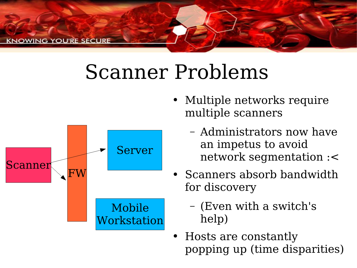

#### Scanner Problems



- Multiple networks require multiple scanners
	- Administrators now have an impetus to avoid network segmentation :<
- Scanners absorb bandwidth for discovery
	- (Even with a switch's help)
- Hosts are constantly popping up (time disparities)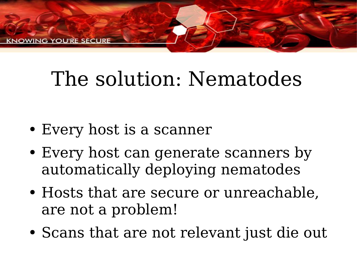**S YOU'RE SECURE** 

## The solution: Nematodes

- Every host is a scanner
- Every host can generate scanners by automatically deploying nematodes
- Hosts that are secure or unreachable, are not a problem!
- Scans that are not relevant just die out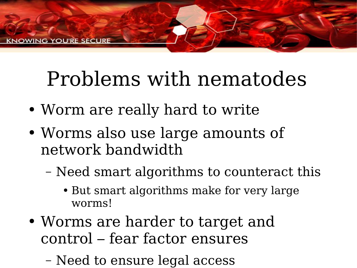## Problems with nematodes

- Worm are really hard to write
- Worms also use large amounts of network bandwidth
	- Need smart algorithms to counteract this
		- But smart algorithms make for very large worms!
- Worms are harder to target and control – fear factor ensures
	- Need to ensure legal access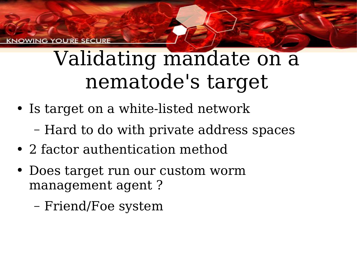#### Validating mandate on a nematode's target

- Is target on a white-listed network
	- Hard to do with private address spaces
- 2 factor authentication method
- Does target run our custom worm management agent ?
	- Friend/Foe system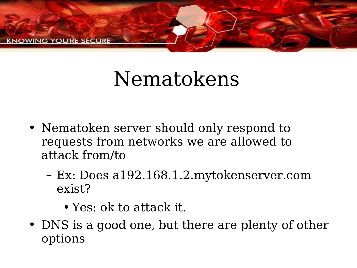

#### Nematokens

- Nematoken server should only respond to requests from networks we are allowed to attack from/to
	- Ex: Does a192.168.1.2.mytokenserver.com exist?
		- Yes: ok to attack it.
- DNS is a good one, but there are plenty of other options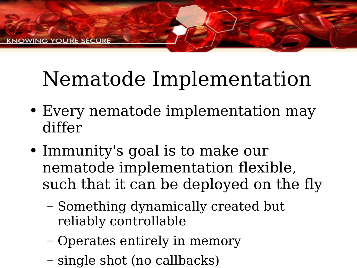## Nematode Implementation

- Every nematode implementation may differ
- Immunity's goal is to make our nematode implementation flexible, such that it can be deployed on the fly
	- Something dynamically created but reliably controllable
	- Operates entirely in memory
	- single shot (no callbacks)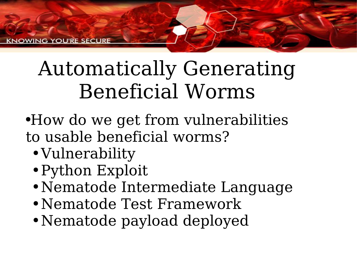## Automatically Generating Beneficial Worms

- ●How do we get from vulnerabilities to usable beneficial worms?
	- Vulnerability
	- Python Exploit
	- Nematode Intermediate Language
	- Nematode Test Framework
	- Nematode payload deployed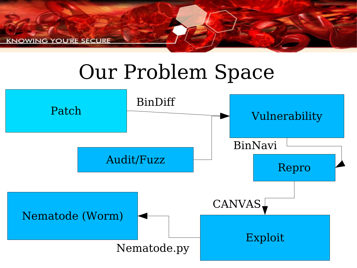**KNOWING YOU'RE SECURE** 

#### Our Problem Space

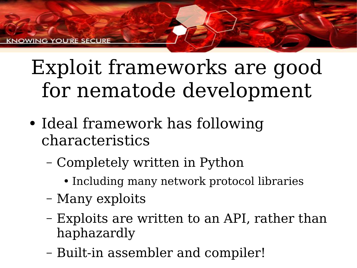## Exploit frameworks are good for nematode development

- Ideal framework has following characteristics
	- Completely written in Python
		- Including many network protocol libraries
	- Many exploits
	- Exploits are written to an API, rather than haphazardly
	- Built-in assembler and compiler!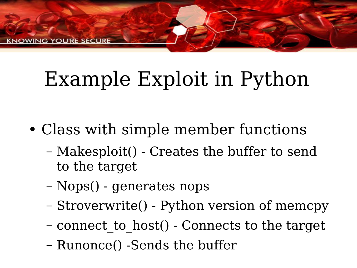**G YOU'RE SECURE** 

## Example Exploit in Python

- Class with simple member functions
	- Makesploit() Creates the buffer to send to the target
	- Nops() generates nops
	- Stroverwrite() Python version of memcpy
	- connect\_to\_host() Connects to the target
	- Runonce() -Sends the buffer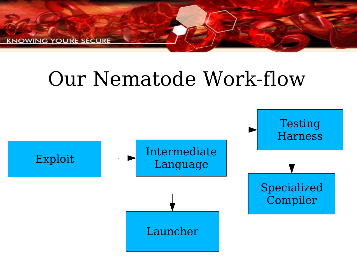**KNOWING YOU'RE SECURE** 

#### Our Nematode Work-flow

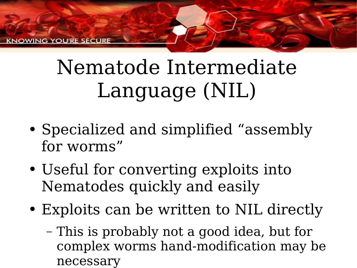## Nematode Intermediate Language (NIL)

- Specialized and simplified "assembly for worms"
- Useful for converting exploits into Nematodes quickly and easily
- Exploits can be written to NIL directly
	- This is probably not a good idea, but for complex worms hand-modification may be necessary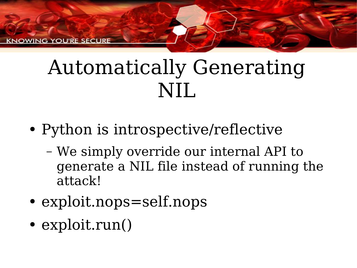**KNOWING YOU'RE SECURE** 

#### Automatically Generating NIL

- Python is introspective/reflective
	- We simply override our internal API to generate a NIL file instead of running the attack!
- exploit.nops=self.nops
- exploit.run()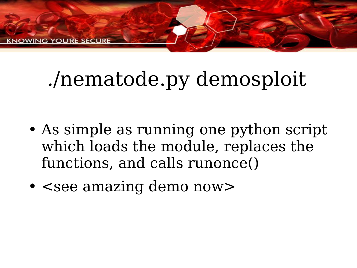**G. YOU'RE SECURE** 

## ./nematode.py demosploit

- As simple as running one python script which loads the module, replaces the functions, and calls runonce()
- <see amazing demo now>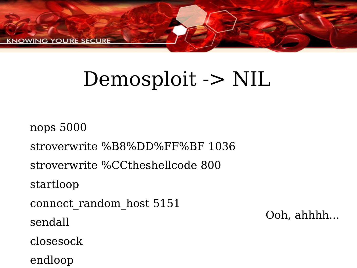

#### Demosploit -> NIL

nops 5000 stroverwrite %B8%DD%FF%BF 1036 stroverwrite %CCtheshellcode 800 startloop connect random host 5151 sendall closesock endloop

Ooh, ahhhh...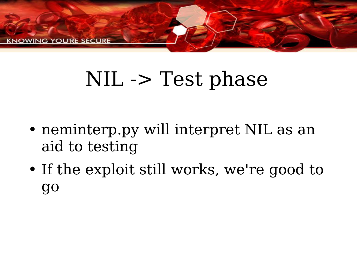

## NIL -> Test phase

- neminterp.py will interpret NIL as an aid to testing
- If the exploit still works, we're good to go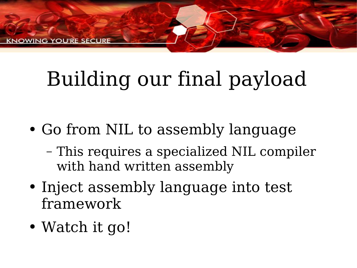ING YOU'RE SECURE

# Building our final payload

- Go from NIL to assembly language
	- This requires a specialized NIL compiler with hand written assembly
- Inject assembly language into test framework
- Watch it go!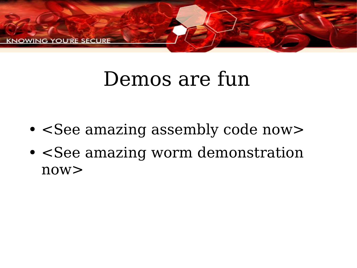

## Demos are fun

- <See amazing assembly code now>
- <See amazing worm demonstration now>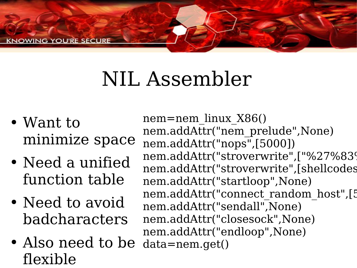## NIL Assembler

- Want to minimize space
- Need a unified function table
- Need to avoid badcharacters
- Also need to be flexible

nem=nem\_linux\_X86() nem.addAttr("nem\_prelude",None) nem.addAttr("nops",[5000]) nem.addAttr("stroverwrite",["%27%83% nem.addAttr("stroverwrite",[shellcodes nem.addAttr("startloop" ,None) nem.addAttr("connect\_random\_host",[5 nem.addAttr("sendall",None) nem.addAttr("closesock",None) nem.addAttr("endloop" ,None) data=nem.get()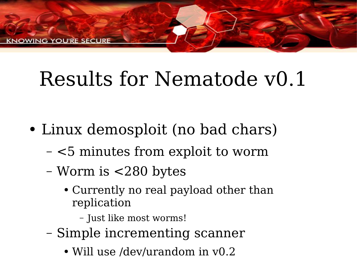## Results for Nematode v0.1

- Linux demosploit (no bad chars)
	- <5 minutes from exploit to worm
	- Worm is <280 bytes
		- Currently no real payload other than replication
			- Just like most worms!
	- Simple incrementing scanner
		- Will use /dev/urandom in  $v0.2$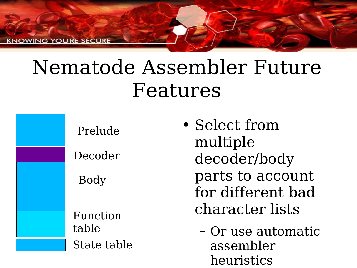**CNOWING YOU'RE SECURI** 

#### Nematode Assembler Future Features

Prelude

Decoder

Body

Function table State table

- Select from multiple decoder/body parts to account for different bad character lists
	- Or use automatic assembler heuristics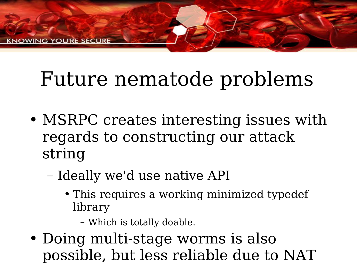## Future nematode problems

- MSRPC creates interesting issues with regards to constructing our attack string
	- Ideally we'd use native API
		- This requires a working minimized typedef library
			- Which is totally doable.
- Doing multi-stage worms is also possible, but less reliable due to NAT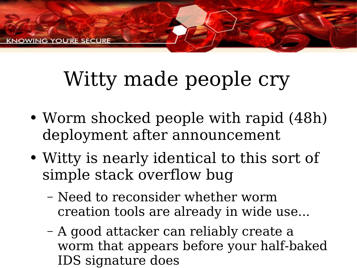# Witty made people cry

- Worm shocked people with rapid (48h) deployment after announcement
- Witty is nearly identical to this sort of simple stack overflow bug
	- Need to reconsider whether worm creation tools are already in wide use...
	- A good attacker can reliably create a worm that appears before your half-baked IDS signature does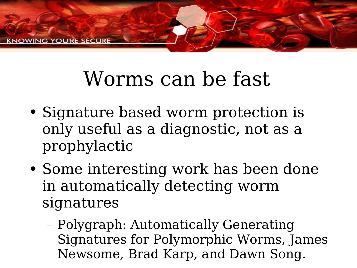

### Worms can be fast

- Signature based worm protection is only useful as a diagnostic, not as a prophylactic
- Some interesting work has been done in automatically detecting worm signatures
	- Polygraph: Automatically Generating Signatures for Polymorphic Worms, James Newsome, Brad Karp, and Dawn Song.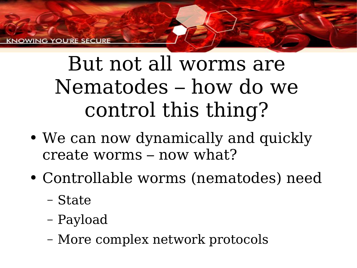**G YOU'RE SECURI** 

## But not all worms are Nematodes – how do we control this thing?

- We can now dynamically and quickly create worms – now what?
- Controllable worms (nematodes) need
	- State
	- Payload
	- More complex network protocols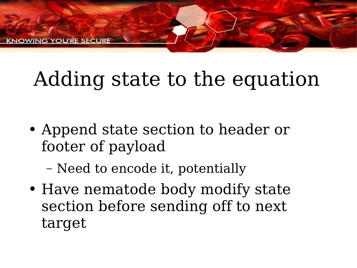# Adding state to the equation

- Append state section to header or footer of payload
	- Need to encode it, potentially
- Have nematode body modify state section before sending off to next target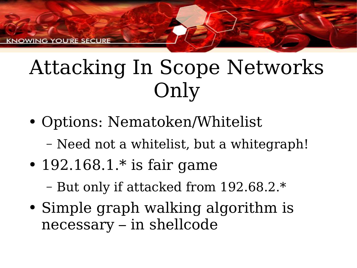## Attacking In Scope Networks Only

- Options: Nematoken/Whitelist
	- Need not a whitelist, but a whitegraph!
- 192.168.1. $*$  is fair game

– But only if attacked from 192.68.2.\*

• Simple graph walking algorithm is necessary – in shellcode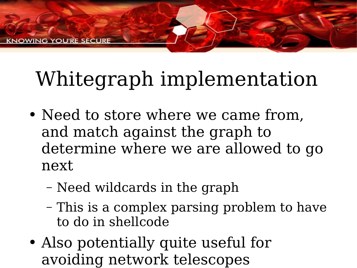# Whitegraph implementation

- Need to store where we came from, and match against the graph to determine where we are allowed to go next
	- Need wildcards in the graph
	- This is a complex parsing problem to have to do in shellcode
- Also potentially quite useful for avoiding network telescopes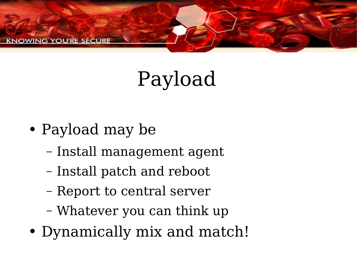

## Payload

- Payload may be
	- Install management agent
	- Install patch and reboot
	- Report to central server
	- Whatever you can think up
- Dynamically mix and match!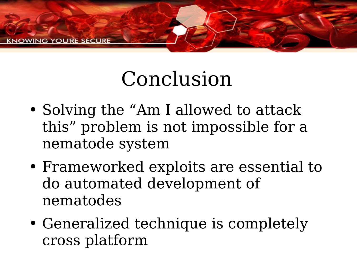

## Conclusion

- Solving the "Am I allowed to attack this" problem is not impossible for a nematode system
- Frameworked exploits are essential to do automated development of nematodes
- Generalized technique is completely cross platform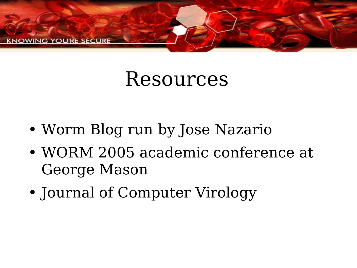

#### Resources

- Worm Blog run by Jose Nazario
- WORM 2005 academic conference at George Mason
- Journal of Computer Virology